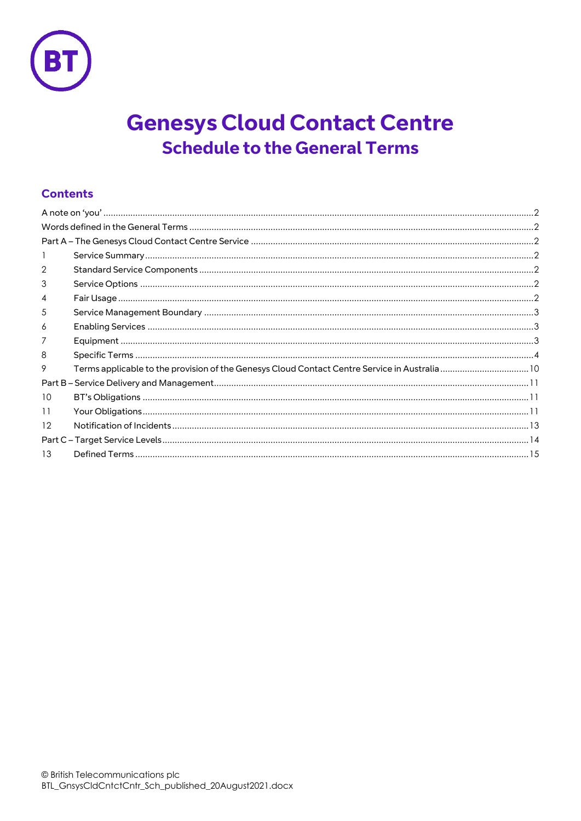

# **Genesys Cloud Contact Centre Schedule to the General Terms**

# **Contents**

| 2                 |                                                                                              |  |
|-------------------|----------------------------------------------------------------------------------------------|--|
| 3                 |                                                                                              |  |
| 4                 |                                                                                              |  |
| 5                 |                                                                                              |  |
| 6                 |                                                                                              |  |
|                   |                                                                                              |  |
| 8                 |                                                                                              |  |
| 9                 | Terms applicable to the provision of the Genesys Cloud Contact Centre Service in Australia10 |  |
|                   |                                                                                              |  |
| 10                |                                                                                              |  |
| 11                |                                                                                              |  |
| $12 \overline{ }$ |                                                                                              |  |
|                   |                                                                                              |  |
| 13                |                                                                                              |  |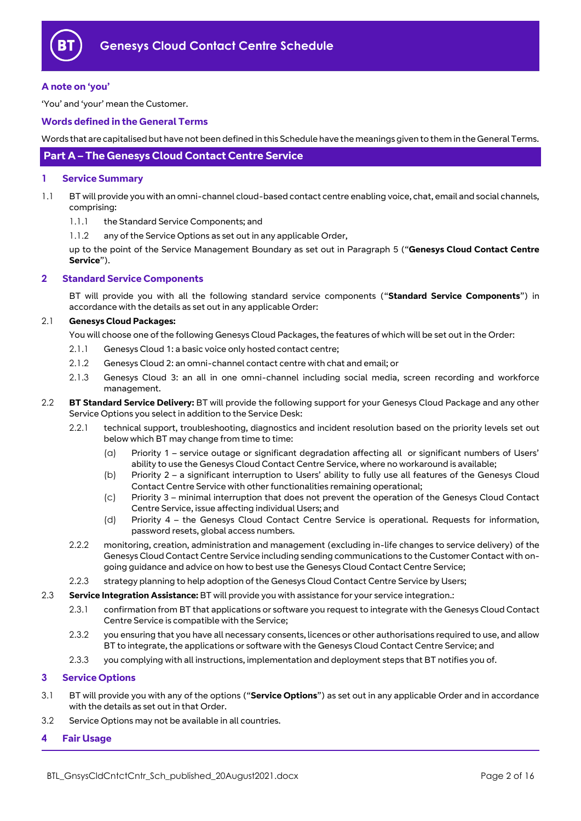

#### <span id="page-1-0"></span>**A note on 'you'**

'You' and 'your' mean the Customer.

#### <span id="page-1-1"></span>**Words defined in the General Terms**

Words that are capitalised but have not been defined in this Schedule have the meanings given to them in the General Terms.

# <span id="page-1-2"></span>**Part A – The Genesys Cloud Contact Centre Service**

#### <span id="page-1-3"></span>**1 Service Summary**

- 1.1 BT will provide you with an omni-channel cloud-based contact centre enabling voice, chat, email and social channels, comprising:
	- 1.1.1 the Standard Service Components; and
	- 1.1.2 any of the Service Options as set out in any applicable Order,

up to the point of the Service Management Boundary as set out in Paragraph [5](#page-2-0) ("**Genesys Cloud Contact Centre Service**").

#### <span id="page-1-4"></span>**2 Standard Service Components**

BT will provide you with all the following standard service components ("**Standard Service Components**") in accordance with the details as set out in any applicable Order:

#### <span id="page-1-7"></span>2.1 **Genesys Cloud Packages:**

You will choose one of the following Genesys Cloud Packages, the features of which will be set out in the Order:

- 2.1.1 Genesys Cloud 1: a basic voice only hosted contact centre;
- 2.1.2 Genesys Cloud 2: an omni-channel contact centre with chat and email; or
- 2.1.3 Genesys Cloud 3: an all in one omni-channel including social media, screen recording and workforce management.
- 2.2 **BT Standard Service Delivery:** BT will provide the following support for your Genesys Cloud Package and any other Service Options you select in addition to the Service Desk:
	- 2.2.1 technical support, troubleshooting, diagnostics and incident resolution based on the priority levels set out below which BT may change from time to time:
		- (a) Priority 1 service outage or significant degradation affecting all or significant numbers of Users' ability to use the Genesys Cloud Contact Centre Service, where no workaround is available;
		- (b) Priority 2 a significant interruption to Users' ability to fully use all features of the Genesys Cloud Contact Centre Service with other functionalities remaining operational;
		- (c) Priority 3 minimal interruption that does not prevent the operation of the Genesys Cloud Contact Centre Service, issue affecting individual Users; and
		- (d) Priority 4 the Genesys Cloud Contact Centre Service is operational. Requests for information, password resets, global access numbers.
	- 2.2.2 monitoring, creation, administration and management (excluding in-life changes to service delivery) of the Genesys Cloud Contact Centre Service including sending communications to the Customer Contact with ongoing guidance and advice on how to best use the Genesys Cloud Contact Centre Service;
	- 2.2.3 strategy planning to help adoption of the Genesys Cloud Contact Centre Service by Users;
- 2.3 **Service Integration Assistance:** BT will provide you with assistance for your service integration.:
	- 2.3.1 confirmation from BT that applications or software you request to integrate with the Genesys Cloud Contact Centre Service is compatible with the Service;
	- 2.3.2 you ensuring that you have all necessary consents, licences or other authorisations required to use, and allow BT to integrate, the applications or software with the Genesys Cloud Contact Centre Service; and
	- 2.3.3 you complying with all instructions, implementation and deployment steps that BT notifies you of.

#### <span id="page-1-5"></span>**3 Service Options**

- 3.1 BT will provide you with any of the options ("**Service Options**") as set out in any applicable Order and in accordance with the details as set out in that Order.
- 3.2 Service Options may not be available in all countries.

#### <span id="page-1-6"></span>**4 Fair Usage**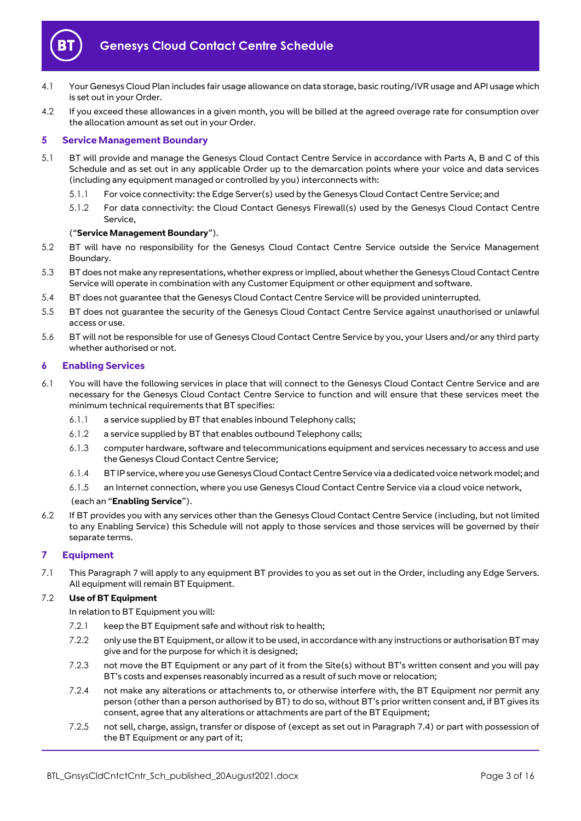

- 4.1 Your Genesys Cloud Plan includes fair usage allowance on data storage, basic routing/IVR usage and API usage which is set out in your Order.
- 4.2 If you exceed these allowances in a given month, you will be billed at the agreed overage rate for consumption over the allocation amount as set out in your Order.

## <span id="page-2-0"></span>**5 Service Management Boundary**

- <span id="page-2-4"></span>5.1 BT will provide and manage the Genesys Cloud Contact Centre Service in accordance with Parts A, B and C of this Schedule and as set out in any applicable Order up to the demarcation points where your voice and data services (including any equipment managed or controlled by you) interconnects with:
	- 5.1.1 For voice connectivity: the Edge Server(s) used by the Genesys Cloud Contact Centre Service; and
	- 5.1.2 For data connectivity: the Cloud Contact Genesys Firewall(s) used by the Genesys Cloud Contact Centre Service,

#### ("**Service Management Boundary**").

- 5.2 BT will have no responsibility for the Genesys Cloud Contact Centre Service outside the Service Management Boundary.
- 5.3 BT does not make any representations, whether express or implied, about whether the Genesys Cloud Contact Centre Service will operate in combination with any Customer Equipment or other equipment and software.
- 5.4 BT does not guarantee that the Genesys Cloud Contact Centre Service will be provided uninterrupted.
- 5.5 BT does not guarantee the security of the Genesys Cloud Contact Centre Service against unauthorised or unlawful access or use.
- 5.6 BT will not be responsible for use of Genesys Cloud Contact Centre Service by you, your Users and/or any third party whether authorised or not.

#### <span id="page-2-1"></span>**6 Enabling Services**

- <span id="page-2-3"></span>6.1 You will have the following services in place that will connect to the Genesys Cloud Contact Centre Service and are necessary for the Genesys Cloud Contact Centre Service to function and will ensure that these services meet the minimum technical requirements that BT specifies:
	- 6.1.1 a service supplied by BT that enables inbound Telephony calls;
	- 6.1.2 a service supplied by BT that enables outbound Telephony calls;
	- 6.1.3 computer hardware, software and telecommunications equipment and services necessary to access and use the Genesys Cloud Contact Centre Service;
	- 6.1.4 BT IP service, where you use Genesys Cloud Contact Centre Service via a dedicated voice network model; and
	- 6.1.5 an Internet connection, where you use Genesys Cloud Contact Centre Service via a cloud voice network,

#### (each an "**Enabling Service**").

6.2 If BT provides you with any services other than the Genesys Cloud Contact Centre Service (including, but not limited to any Enabling Service) this Schedule will not apply to those services and those services will be governed by their separate terms.

#### <span id="page-2-2"></span>**7 Equipment**

7.1 This Paragrap[h 7](#page-2-2) will apply to any equipment BT provides to you as set out in the Order, including any Edge Servers. All equipment will remain BT Equipment.

#### 7.2 **Use of BT Equipment**

- In relation to BT Equipment you will:
- 7.2.1 keep the BT Equipment safe and without risk to health;
- 7.2.2 only use the BT Equipment, or allow it to be used, in accordance with any instructions or authorisation BT may give and for the purpose for which it is designed:
- 7.2.3 not move the BT Equipment or any part of it from the Site(s) without BT's written consent and you will pay BT's costs and expenses reasonably incurred as a result of such move or relocation;
- 7.2.4 not make any alterations or attachments to, or otherwise interfere with, the BT Equipment nor permit any person (other than a person authorised by BT) to do so, without BT's prior written consent and, if BT gives its consent, agree that any alterations or attachments are part of the BT Equipment;
- 7.2.5 not sell, charge, assign, transfer or dispose of (except as set out in Paragrap[h 7.4\)](#page-3-1) or part with possession of the BT Equipment or any part of it;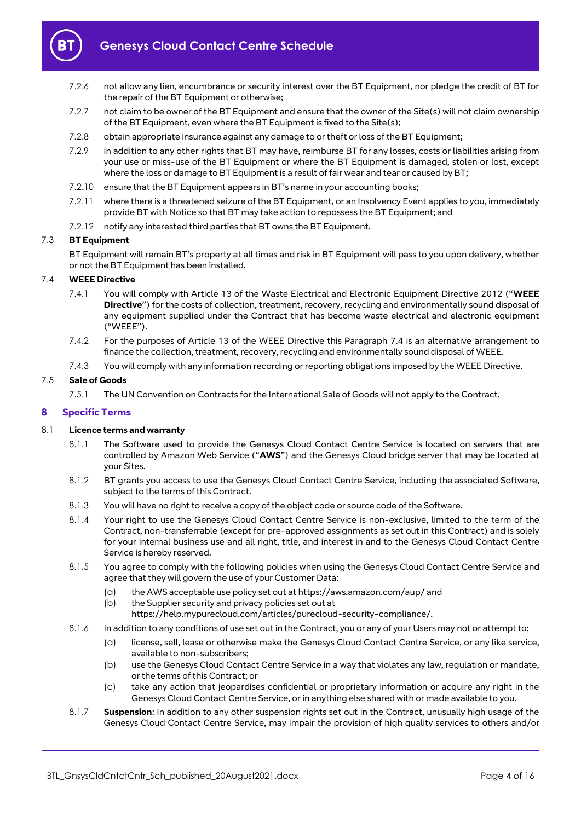

- 7.2.6 not allow any lien, encumbrance or security interest over the BT Equipment, nor pledge the credit of BT for the repair of the BT Equipment or otherwise;
- 7.2.7 not claim to be owner of the BT Equipment and ensure that the owner of the Site(s) will not claim ownership of the BT Equipment, even where the BT Equipment is fixed to the Site(s);
- 7.2.8 obtain appropriate insurance against any damage to or theft or loss of the BT Equipment;
- 7.2.9 in addition to any other rights that BT may have, reimburse BT for any losses, costs or liabilities arising from your use or miss-use of the BT Equipment or where the BT Equipment is damaged, stolen or lost, except where the loss or damage to BT Equipment is a result of fair wear and tear or caused by BT;
- 7.2.10 ensure that the BT Equipment appears in BT's name in your accounting books;
- 7.2.11 where there is a threatened seizure of the BT Equipment, or an Insolvency Event applies to you, immediately provide BT with Notice so that BT may take action to repossess the BT Equipment; and
- 7.2.12 notify any interested third parties that BT owns the BT Equipment.

#### 7.3 **BT Equipment**

BT Equipment will remain BT's property at all times and risk in BT Equipment will pass to you upon delivery, whether or not the BT Equipment has been installed.

#### <span id="page-3-1"></span>7.4 **WEEE Directive**

- 7.4.1 You will comply with Article 13 of the Waste Electrical and Electronic Equipment Directive 2012 ("**WEEE Directive**") for the costs of collection, treatment, recovery, recycling and environmentally sound disposal of any equipment supplied under the Contract that has become waste electrical and electronic equipment ("WEEE").
- 7.4.2 For the purposes of Article 13 of the WEEE Directive this Paragraph [7.4](#page-3-1) is an alternative arrangement to finance the collection, treatment, recovery, recycling and environmentally sound disposal of WEEE.
- 7.4.3 You will comply with any information recording or reporting obligations imposed by the WEEE Directive.

#### 7.5 **Sale of Goods**

7.5.1 The UN Convention on Contracts for the International Sale of Goods will not apply to the Contract.

#### <span id="page-3-0"></span>**8 Specific Terms**

#### 8.1 **Licence terms and warranty**

- 8.1.1 The Software used to provide the Genesys Cloud Contact Centre Service is located on servers that are controlled by Amazon Web Service ("**AWS**") and the Genesys Cloud bridge server that may be located at your Sites.
- 8.1.2 BT grants you access to use the Genesys Cloud Contact Centre Service, including the associated Software, subject to the terms of this Contract.
- 8.1.3 You will have no right to receive a copy of the object code or source code of the Software.
- 8.1.4 Your right to use the Genesys Cloud Contact Centre Service is non-exclusive, limited to the term of the Contract, non-transferrable (except for pre-approved assignments as set out in this Contract) and is solely for your internal business use and all right, title, and interest in and to the Genesys Cloud Contact Centre Service is hereby reserved.
- <span id="page-3-2"></span>8.1.5 You agree to comply with the following policies when using the Genesys Cloud Contact Centre Service and agree that they will govern the use of your Customer Data:
	- (a) the AWS acceptable use policy set out a[t https://aws.amazon.com/aup/](https://aws.amazon.com/aup/) and
	- (b) the Supplier security and privacy policies set out at
	- https://help.mypurecloud.com/articles/purecloud-security-compliance/.
- 8.1.6 In addition to any conditions of use set out in the Contract, you or any of your Users may not or attempt to:
	- (a) license, sell, lease or otherwise make the Genesys Cloud Contact Centre Service, or any like service, available to non-subscribers;
	- (b) use the Genesys Cloud Contact Centre Service in a way that violates any law, regulation or mandate, or the terms of this Contract; or
	- (c) take any action that jeopardises confidential or proprietary information or acquire any right in the Genesys Cloud Contact Centre Service, or in anything else shared with or made available to you.
- 8.1.7 **Suspension**: In addition to any other suspension rights set out in the Contract, unusually high usage of the Genesys Cloud Contact Centre Service, may impair the provision of high quality services to others and/or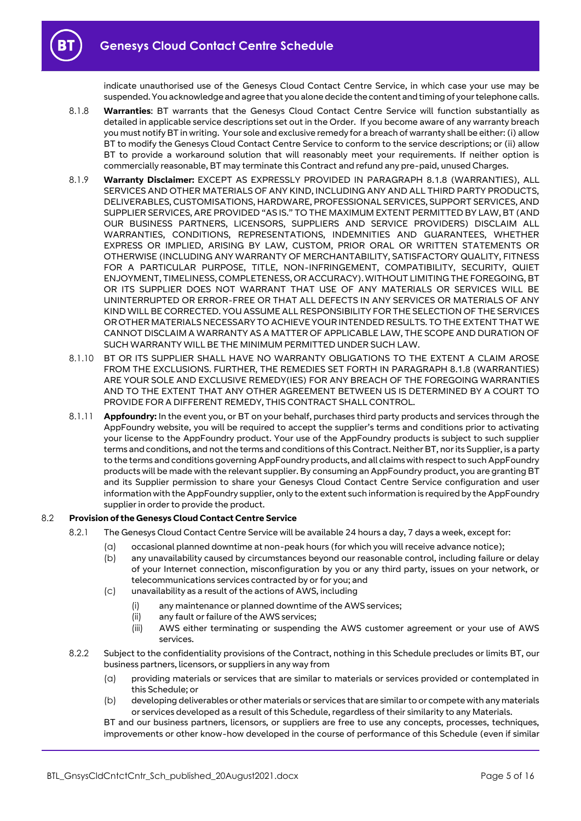indicate unauthorised use of the Genesys Cloud Contact Centre Service, in which case your use may be suspended. You acknowledge and agree that you alone decide the content and timing of your telephone calls.

- <span id="page-4-0"></span>8.1.8 **Warranties**: BT warrants that the Genesys Cloud Contact Centre Service will function substantially as detailed in applicable service descriptions set out in the Order. If you become aware of any warranty breach you must notify BT in writing. Your sole and exclusive remedy for a breach of warranty shall be either: (i) allow BT to modify the Genesys Cloud Contact Centre Service to conform to the service descriptions; or (ii) allow BT to provide a workaround solution that will reasonably meet your requirements. If neither option is commercially reasonable, BT may terminate this Contract and refund any pre-paid, unused Charges.
- 8.1.9 **Warranty Disclaimer:** EXCEPT AS EXPRESSLY PROVIDED IN PARAGRAPH [8.1.8](#page-4-0) (WARRANTIES), ALL SERVICES AND OTHER MATERIALS OF ANY KIND, INCLUDING ANY AND ALL THIRD PARTY PRODUCTS, DELIVERABLES, CUSTOMISATIONS, HARDWARE, PROFESSIONAL SERVICES, SUPPORT SERVICES, AND SUPPLIER SERVICES, ARE PROVIDED "AS IS." TO THE MAXIMUM EXTENT PERMITTED BY LAW, BT (AND OUR BUSINESS PARTNERS, LICENSORS, SUPPLIERS AND SERVICE PROVIDERS) DISCLAIM ALL WARRANTIES, CONDITIONS, REPRESENTATIONS, INDEMNITIES AND GUARANTEES, WHETHER EXPRESS OR IMPLIED, ARISING BY LAW, CUSTOM, PRIOR ORAL OR WRITTEN STATEMENTS OR OTHERWISE (INCLUDING ANY WARRANTY OF MERCHANTABILITY, SATISFACTORY QUALITY, FITNESS FOR A PARTICULAR PURPOSE, TITLE, NON-INFRINGEMENT, COMPATIBILITY, SECURITY, QUIET ENJOYMENT, TIMELINESS, COMPLETENESS, OR ACCURACY). WITHOUT LIMITING THE FOREGOING, BT OR ITS SUPPLIER DOES NOT WARRANT THAT USE OF ANY MATERIALS OR SERVICES WILL BE UNINTERRUPTED OR ERROR-FREE OR THAT ALL DEFECTS IN ANY SERVICES OR MATERIALS OF ANY KIND WILL BE CORRECTED. YOU ASSUME ALL RESPONSIBILITY FOR THE SELECTION OF THE SERVICES OR OTHER MATERIALS NECESSARY TO ACHIEVE YOUR INTENDED RESULTS. TO THE EXTENT THAT WE CANNOT DISCLAIM A WARRANTY AS A MATTER OF APPLICABLE LAW, THE SCOPE AND DURATION OF SUCH WARRANTY WILL BE THE MINIMUM PERMITTED UNDER SUCH LAW.
- 8.1.10 BT OR ITS SUPPLIER SHALL HAVE NO WARRANTY OBLIGATIONS TO THE EXTENT A CLAIM AROSE FROM THE EXCLUSIONS. FURTHER, THE REMEDIES SET FORTH IN PARAGRAPH [8.1.8](#page-4-0) (WARRANTIES) ARE YOUR SOLE AND EXCLUSIVE REMEDY(IES) FOR ANY BREACH OF THE FOREGOING WARRANTIES AND TO THE EXTENT THAT ANY OTHER AGREEMENT BETWEEN US IS DETERMINED BY A COURT TO PROVIDE FOR A DIFFERENT REMEDY, THIS CONTRACT SHALL CONTROL.
- 8.1.11 **Appfoundry:** In the event you, or BT on your behalf, purchases third party products and services through the AppFoundry website, you will be required to accept the supplier's terms and conditions prior to activating your license to the AppFoundry product. Your use of the AppFoundry products is subject to such supplier terms and conditions, and not the terms and conditions of this Contract. Neither BT, nor its Supplier, is a party to the terms and conditions governing AppFoundry products, and all claims with respect to such AppFoundry products will be made with the relevant supplier. By consuming an AppFoundry product, you are granting BT and its Supplier permission to share your Genesys Cloud Contact Centre Service configuration and user information with the AppFoundry supplier, only to the extent such information is required by the AppFoundry supplier in order to provide the product.

#### 8.2 **Provision of the Genesys Cloud Contact Centre Service**

- 8.2.1 The Genesys Cloud Contact Centre Service will be available 24 hours a day, 7 days a week, except for:
	- (a) occasional planned downtime at non-peak hours (for which you will receive advance notice);
	- (b) any unavailability caused by circumstances beyond our reasonable control, including failure or delay of your Internet connection, misconfiguration by you or any third party, issues on your network, or telecommunications services contracted by or for you; and
	- (c) unavailability as a result of the actions of AWS, including
		- (i) any maintenance or planned downtime of the AWS services;
		- (ii) any fault or failure of the AWS services;
		- (iii) AWS either terminating or suspending the AWS customer agreement or your use of AWS services.
- <span id="page-4-1"></span>8.2.2 Subject to the confidentiality provisions of the Contract, nothing in this Schedule precludes or limits BT, our business partners, licensors, or suppliers in any way from
	- (a) providing materials or services that are similar to materials or services provided or contemplated in this Schedule; or
	- (b) developing deliverables or other materials or services that are similar to or compete with any materials or services developed as a result of this Schedule, regardless of their similarity to any Materials.

BT and our business partners, licensors, or suppliers are free to use any concepts, processes, techniques, improvements or other know-how developed in the course of performance of this Schedule (even if similar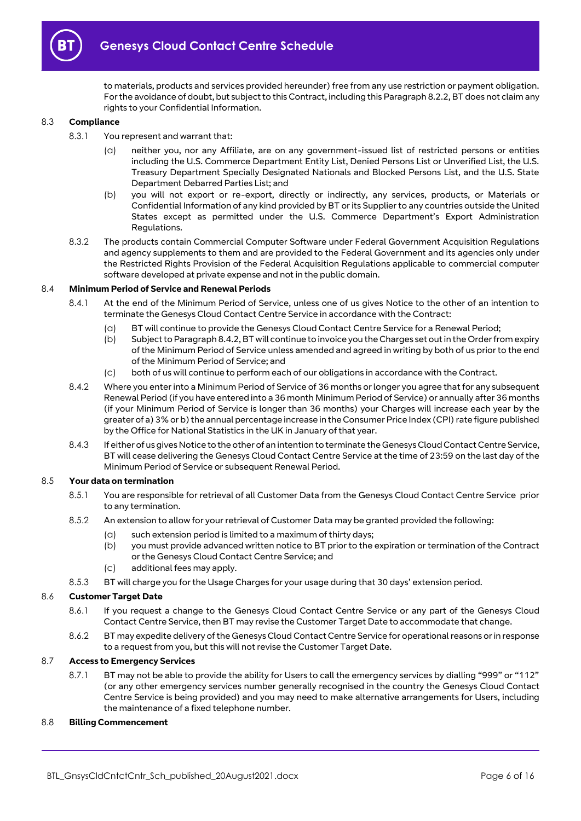

to materials, products and services provided hereunder) free from any use restriction or payment obligation. For the avoidance of doubt, but subject to this Contract, including this Paragrap[h 8.2.2,](#page-4-1) BT does not claim any rights to your Confidential Information.

#### 8.3 **Compliance**

- 8.3.1 You represent and warrant that:
	- (a) neither you, nor any Affiliate, are on any government-issued list of restricted persons or entities including the U.S. Commerce Department Entity List, Denied Persons List or Unverified List, the U.S. Treasury Department Specially Designated Nationals and Blocked Persons List, and the U.S. State Department Debarred Parties List; and
	- (b) you will not export or re-export, directly or indirectly, any services, products, or Materials or Confidential Information of any kind provided by BT or its Supplierto any countries outside the United States except as permitted under the U.S. Commerce Department's Export Administration Regulations.
- 8.3.2 The products contain Commercial Computer Software under Federal Government Acquisition Regulations and agency supplements to them and are provided to the Federal Government and its agencies only under the Restricted Rights Provision of the Federal Acquisition Regulations applicable to commercial computer software developed at private expense and not in the public domain.

#### 8.4 **Minimum Period of Service and Renewal Periods**

- 8.4.1 At the end of the Minimum Period of Service, unless one of us gives Notice to the other of an intention to terminate the Genesys Cloud Contact Centre Service in accordance with the Contract:
	- (a) BT will continue to provide the Genesys Cloud Contact Centre Service for a Renewal Period;
	- (b) Subject to Paragrap[h 8.4.2,](#page-5-0) BT will continue to invoice you the Charges set out in the Order from expiry of the Minimum Period of Service unless amended and agreed in writing by both of us prior to the end of the Minimum Period of Service; and
	- (c) both of us will continue to perform each of our obligations in accordance with the Contract.
- <span id="page-5-0"></span>8.4.2 Where you enter into a Minimum Period of Service of 36 months or longer you agree that for any subsequent Renewal Period (if you have entered into a 36 month Minimum Period of Service) or annually after 36 months (if your Minimum Period of Service is longer than 36 months) your Charges will increase each year by the greater of a) 3% or b) the annual percentage increase in the Consumer Price Index (CPI) rate figure published by the Office for National Statistics in the UK in January of that year.
- 8.4.3 If either of us gives Notice to the other of an intention to terminate the Genesys Cloud Contact Centre Service, BT will cease delivering the Genesys Cloud Contact Centre Service at the time of 23:59 on the last day of the Minimum Period of Service or subsequent Renewal Period.

#### <span id="page-5-1"></span>8.5 **Your data on termination**

- 8.5.1 You are responsible for retrieval of all Customer Data from the Genesys Cloud Contact Centre Service prior to any termination.
- 8.5.2 An extension to allow for your retrieval of Customer Data may be granted provided the following:
	- (a) such extension period is limited to a maximum of thirty days;
	- (b) you must provide advanced written notice to BT prior to the expiration or termination of the Contract or the Genesys Cloud Contact Centre Service; and
	- (c) additional fees may apply.
- 8.5.3 BT will charge you for the Usage Charges for your usage during that 30 days' extension period.

#### 8.6 **Customer Target Date**

- 8.6.1 If you request a change to the Genesys Cloud Contact Centre Service or any part of the Genesys Cloud Contact Centre Service, then BT may revise the Customer Target Date to accommodate that change.
- 8.6.2 BT may expedite delivery of the Genesys Cloud Contact Centre Service for operational reasons or in response to a request from you, but this will not revise the Customer Target Date.

#### 8.7 **Access to Emergency Services**

8.7.1 BT may not be able to provide the ability for Users to call the emergency services by dialling "999" or "112" (or any other emergency services number generally recognised in the country the Genesys Cloud Contact Centre Service is being provided) and you may need to make alternative arrangements for Users, including the maintenance of a fixed telephone number.

#### 8.8 **Billing Commencement**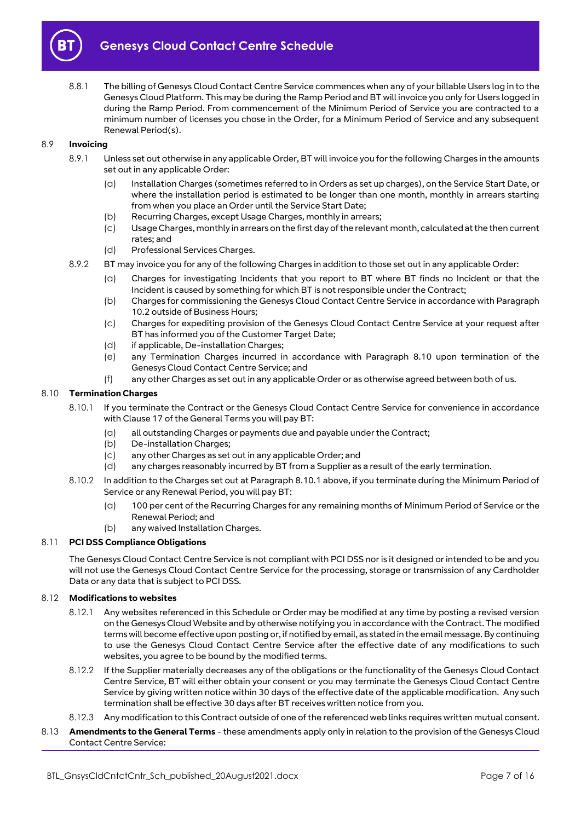

8.8.1 The billing of Genesys Cloud Contact Centre Service commences when any of your billable Users log in to the Genesys Cloud Platform. This may be during the Ramp Period and BT will invoice you only for Users logged in during the Ramp Period. From commencement of the Minimum Period of Service you are contracted to a minimum number of licenses you chose in the Order, for a Minimum Period of Service and any subsequent Renewal Period(s).

#### 8.9 **Invoicing**

- 8.9.1 Unless set out otherwise in any applicable Order, BT will invoice you for the following Charges in the amounts set out in any applicable Order:
	- (a) Installation Charges (sometimes referred to in Orders as set up charges), on the Service Start Date, or where the installation period is estimated to be longer than one month, monthly in arrears starting from when you place an Order until the Service Start Date;
	- (b) Recurring Charges, except Usage Charges, monthly in arrears;
	- (c) Usage Charges, monthly in arrears on the first day of the relevant month, calculated at the then current rates; and
	- (d) Professional Services Charges.
- 8.9.2 BT may invoice you for any of the following Charges in addition to those set out in any applicable Order:
	- (a) Charges for investigating Incidents that you report to BT where BT finds no Incident or that the Incident is caused by something for which BT is not responsible under the Contract;
	- (b) Charges for commissioning the Genesys Cloud Contact Centre Service in accordance with Paragraph [10.2](#page-10-3) outside of Business Hours;
	- (c) Charges for expediting provision of the Genesys Cloud Contact Centre Service at your request after BT has informed you of the Customer Target Date;
	- (d) if applicable, De-installation Charges;
	- (e) any Termination Charges incurred in accordance with Paragraph [8.10](#page-6-0) upon termination of the Genesys Cloud Contact Centre Service; and
	- (f) any other Charges as set out in any applicable Order or as otherwise agreed between both of us.

#### <span id="page-6-1"></span><span id="page-6-0"></span>8.10 **Termination Charges**

- 8.10.1 If you terminate the Contract or the Genesys Cloud Contact Centre Service for convenience in accordance with Clause 17 of the General Terms you will pay BT:
	- (a) all outstanding Charges or payments due and payable under the Contract;
	- (b) De-installation Charges:
	- (c) any other Charges as set out in any applicable Order; and
	- (d) any charges reasonably incurred by BT from a Supplier as a result of the early termination.
- 8.10.2 In addition to the Charges set out at Paragrap[h 8.10.1](#page-6-1) above, if you terminate during the Minimum Period of Service or any Renewal Period, you will pay BT:
	- (a) 100 per cent of the Recurring Charges for any remaining months of Minimum Period of Service or the Renewal Period; and
	- (b) any waived Installation Charges.

# 8.11 **PCI DSS Compliance Obligations**

The Genesys Cloud Contact Centre Service is not compliant with PCI DSS nor is it designed or intended to be and you will not use the Genesys Cloud Contact Centre Service for the processing, storage or transmission of any Cardholder Data or any data that is subject to PCI DSS.

#### 8.12 **Modifications to websites**

- 8.12.1 Any websites referenced in this Schedule or Order may be modified at any time by posting a revised version on the Genesys Cloud Website and by otherwise notifying you in accordance with the Contract. The modified terms will become effective upon posting or, if notified by email, as stated in the email message. By continuing to use the Genesys Cloud Contact Centre Service after the effective date of any modifications to such websites, you agree to be bound by the modified terms.
- 8.12.2 If the Supplier materially decreases any of the obligations or the functionality of the Genesys Cloud Contact Centre Service, BT will either obtain your consent or you may terminate the Genesys Cloud Contact Centre Service by giving written notice within 30 days of the effective date of the applicable modification. Any such termination shall be effective 30 days after BT receives written notice from you.
- 8.12.3 Any modification to this Contract outside of one of the referenced web links requires written mutual consent.
- 8.13 **Amendments to the General Terms**  these amendments apply only in relation to the provision of the Genesys Cloud Contact Centre Service: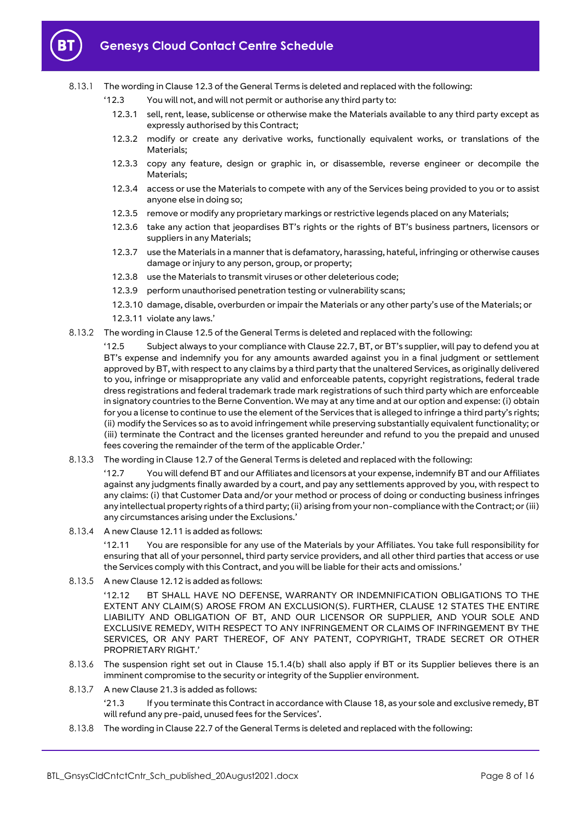

#### 8.13.1 The wording in Clause 12.3 of the General Terms is deleted and replaced with the following:

- '12.3 You will not, and will not permit or authorise any third party to:
	- 12.3.1 sell, rent, lease, sublicense or otherwise make the Materials available to any third party except as expressly authorised by this Contract;
	- 12.3.2 modify or create any derivative works, functionally equivalent works, or translations of the Materials;
	- 12.3.3 copy any feature, design or graphic in, or disassemble, reverse engineer or decompile the Materials;
	- 12.3.4 access or use the Materials to compete with any of the Services being provided to you or to assist anyone else in doing so;
	- 12.3.5 remove or modify any proprietary markings or restrictive legends placed on any Materials;
	- 12.3.6 take any action that jeopardises BT's rights or the rights of BT's business partners, licensors or suppliers in any Materials;
	- 12.3.7 use the Materials in a manner that is defamatory, harassing, hateful, infringing or otherwise causes damage or injury to any person, group, or property;
	- 12.3.8 use the Materials to transmit viruses or other deleterious code;
	- 12.3.9 perform unauthorised penetration testing or vulnerability scans;
	- 12.3.10 damage, disable, overburden or impair the Materials or any other party's use of the Materials; or
	- 12.3.11 violate any laws.'
- 8.13.2 The wording in Clause 12.5 of the General Terms is deleted and replaced with the following:

'12.5 Subject always to your compliance with Clause 22.7, BT, or BT's supplier, will pay to defend you at BT's expense and indemnify you for any amounts awarded against you in a final judgment or settlement approved by BT, with respect to any claims by a third party that the unaltered Services, as originally delivered to you, infringe or misappropriate any valid and enforceable patents, copyright registrations, federal trade dress registrations and federal trademark trade mark registrations of such third party which are enforceable in signatory countries to the Berne Convention. We may at any time and at our option and expense: (i) obtain for you a license to continue to use the element of the Services that is alleged to infringe a third party's rights; (ii) modify the Services so as to avoid infringement while preserving substantially equivalent functionality; or (iii) terminate the Contract and the licenses granted hereunder and refund to you the prepaid and unused fees covering the remainder of the term of the applicable Order.'

8.13.3 The wording in Clause 12.7 of the General Terms is deleted and replaced with the following:

'12.7 You will defend BT and our Affiliates and licensors at your expense, indemnify BT and our Affiliates against any judgments finally awarded by a court, and pay any settlements approved by you, with respect to any claims: (i) that Customer Data and/or your method or process of doing or conducting business infringes any intellectual property rights of a third party; (ii) arising from your non-compliance with the Contract; or (iii) any circumstances arising under the Exclusions.'

8.13.4 A new Clause 12.11 is added as follows:

'12.11 You are responsible for any use of the Materials by your Affiliates. You take full responsibility for ensuring that all of your personnel, third party service providers, and all other third parties that access or use the Services comply with this Contract, and you will be liable for their acts and omissions.'

8.13.5 A new Clause 12.12 is added as follows:

'12.12 BT SHALL HAVE NO DEFENSE, WARRANTY OR INDEMNIFICATION OBLIGATIONS TO THE EXTENT ANY CLAIM(S) AROSE FROM AN EXCLUSION(S). FURTHER, CLAUSE 12 STATES THE ENTIRE LIABILITY AND OBLIGATION OF BT, AND OUR LICENSOR OR SUPPLIER, AND YOUR SOLE AND EXCLUSIVE REMEDY, WITH RESPECT TO ANY INFRINGEMENT OR CLAIMS OF INFRINGEMENT BY THE SERVICES, OR ANY PART THEREOF, OF ANY PATENT, COPYRIGHT, TRADE SECRET OR OTHER PROPRIETARY RIGHT.'

- 8.13.6 The suspension right set out in Clause 15.1.4(b) shall also apply if BT or its Supplier believes there is an imminent compromise to the security or integrity of the Supplier environment.
- 8.13.7 A new Clause 21.3 is added as follows:

'21.3 If you terminate this Contract in accordance with Clause 18, as your sole and exclusive remedy, BT will refund any pre-paid, unused fees for the Services'.

8.13.8 The wording in Clause 22.7 of the General Terms is deleted and replaced with the following: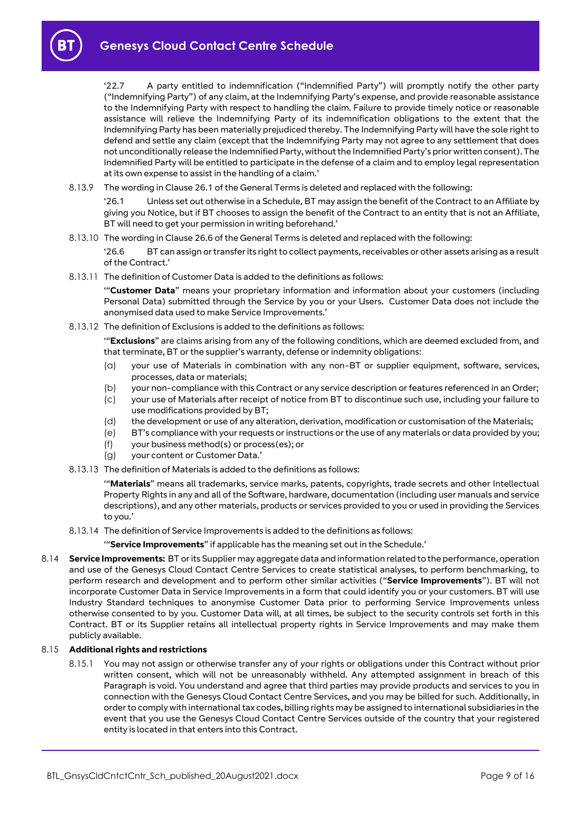'22.7 A party entitled to indemnification ("Indemnified Party") will promptly notify the other party ("Indemnifying Party") of any claim, at the Indemnifying Party's expense, and provide reasonable assistance to the Indemnifying Party with respect to handling the claim. Failure to provide timely notice or reasonable assistance will relieve the Indemnifying Party of its indemnification obligations to the extent that the Indemnifying Party has been materially prejudiced thereby. The Indemnifying Party will have the sole right to defend and settle any claim (except that the Indemnifying Party may not agree to any settlement that does not unconditionally release the Indemnified Party, without the Indemnified Party's prior written consent). The Indemnified Party will be entitled to participate in the defense of a claim and to employ legal representation at its own expense to assist in the handling of a claim.'

8.13.9 The wording in Clause 26.1 of the General Terms is deleted and replaced with the following:

'26.1 Unless set out otherwise in a Schedule, BT may assign the benefit of the Contract to an Affiliate by giving you Notice, but if BT chooses to assign the benefit of the Contract to an entity that is not an Affiliate, BT will need to get your permission in writing beforehand.'

8.13.10 The wording in Clause 26.6 of the General Terms is deleted and replaced with the following:

'26.6 BT can assign or transfer its right to collect payments, receivables or other assets arising as a result of the Contract.'

8.13.11 The definition of Customer Data is added to the definitions as follows:

'"**Customer Data**" means your proprietary information and information about your customers (including Personal Data) submitted through the Service by you or your Users. Customer Data does not include the anonymised data used to make Service Improvements.'

8.13.12 The definition of Exclusions is added to the definitions as follows:

'"**Exclusions**" are claims arising from any of the following conditions, which are deemed excluded from, and that terminate, BT or the supplier's warranty, defense or indemnity obligations:

- (a) your use of Materials in combination with any non-BT or supplier equipment, software, services, processes, data or materials;
- (b) your non-compliance with this Contract or any service description or features referenced in an Order;
- (c) your use of Materials after receipt of notice from BT to discontinue such use, including your failure to use modifications provided by BT;
- (d) the development or use of any alteration, derivation, modification or customisation of the Materials;
- (e) BT's compliance with your requests or instructions or the use of any materials or data provided by you;
- (f) your business method(s) or process(es); or
- (g) your content or Customer Data.'
- 8.13.13 The definition of Materials is added to the definitions as follows:

'"**Materials**" means all trademarks, service marks, patents, copyrights, trade secrets and other Intellectual Property Rights in any and all of the Software, hardware, documentation (including user manuals and service descriptions), and any other materials, products or services provided to you or used in providing the Services to you.'

8.13.14 The definition of Service Improvements is added to the definitions as follows:

'"**Service Improvements**" if applicable has the meaning set out in the Schedule.'

<span id="page-8-0"></span>8.14 **Service Improvements:** BT or its Supplier may aggregate data and information related to the performance, operation and use of the Genesys Cloud Contact Centre Services to create statistical analyses, to perform benchmarking, to perform research and development and to perform other similar activities ("**Service Improvements**"). BT will not incorporate Customer Data in Service Improvements in a form that could identify you or your customers. BT will use Industry Standard techniques to anonymise Customer Data prior to performing Service Improvements unless otherwise consented to by you. Customer Data will, at all times, be subject to the security controls set forth in this Contract. BT or its Supplier retains all intellectual property rights in Service Improvements and may make them publicly available.

#### 8.15 **Additional rights and restrictions**

8.15.1 You may not assign or otherwise transfer any of your rights or obligations under this Contract without prior written consent, which will not be unreasonably withheld. Any attempted assignment in breach of this Paragraph is void. You understand and agree that third parties may provide products and services to you in connection with the Genesys Cloud Contact Centre Services, and you may be billed for such. Additionally, in order to comply with international tax codes, billing rights may be assigned to international subsidiaries in the event that you use the Genesys Cloud Contact Centre Services outside of the country that your registered entity is located in that enters into this Contract.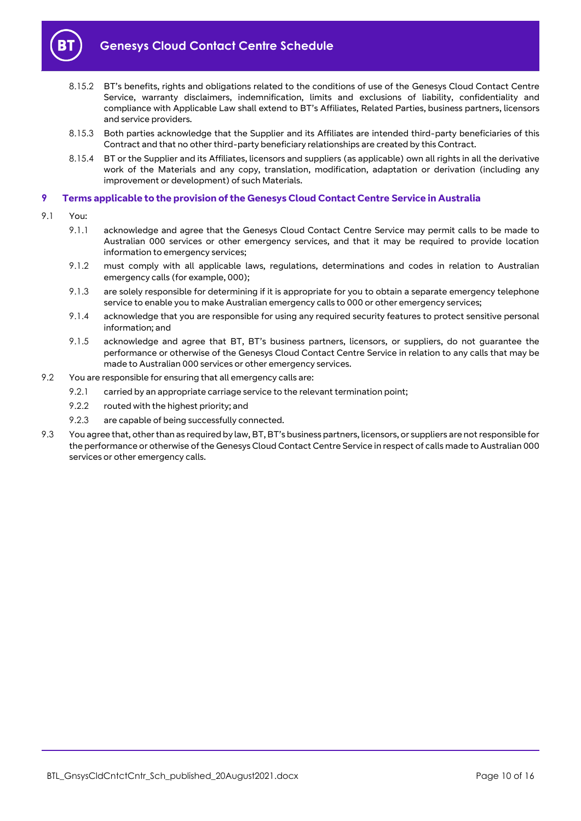

- 8.15.2 BT's benefits, rights and obligations related to the conditions of use of the Genesys Cloud Contact Centre Service, warranty disclaimers, indemnification, limits and exclusions of liability, confidentiality and compliance with Applicable Law shall extend to BT's Affiliates, Related Parties, business partners, licensors and service providers.
- 8.15.3 Both parties acknowledge that the Supplier and its Affiliates are intended third-party beneficiaries of this Contract and that no other third-party beneficiary relationships are created by this Contract.
- 8.15.4 BT or the Supplier and its Affiliates, licensors and suppliers (as applicable) own all rights in all the derivative work of the Materials and any copy, translation, modification, adaptation or derivation (including any improvement or development) of such Materials.

## <span id="page-9-0"></span>**9 Terms applicable to the provision of the Genesys Cloud Contact Centre Service in Australia**

- 9.1 You:
	- 9.1.1 acknowledge and agree that the Genesys Cloud Contact Centre Service may permit calls to be made to Australian 000 services or other emergency services, and that it may be required to provide location information to emergency services;
	- 9.1.2 must comply with all applicable laws, regulations, determinations and codes in relation to Australian emergency calls (for example, 000);
	- 9.1.3 are solely responsible for determining if it is appropriate for you to obtain a separate emergency telephone service to enable you to make Australian emergency calls to 000 or other emergency services;
	- 9.1.4 acknowledge that you are responsible for using any required security features to protect sensitive personal information; and
	- 9.1.5 acknowledge and agree that BT, BT's business partners, licensors, or suppliers, do not guarantee the performance or otherwise of the Genesys Cloud Contact Centre Service in relation to any calls that may be made to Australian 000 services or other emergency services.
- 9.2 You are responsible for ensuring that all emergency calls are:
	- 9.2.1 carried by an appropriate carriage service to the relevant termination point;
	- 9.2.2 routed with the highest priority; and
	- 9.2.3 are capable of being successfully connected.
- 9.3 You agree that, other than as required by law, BT, BT's business partners, licensors, or suppliers are not responsible for the performance or otherwise of the Genesys Cloud Contact Centre Service in respect of calls made to Australian 000 services or other emergency calls.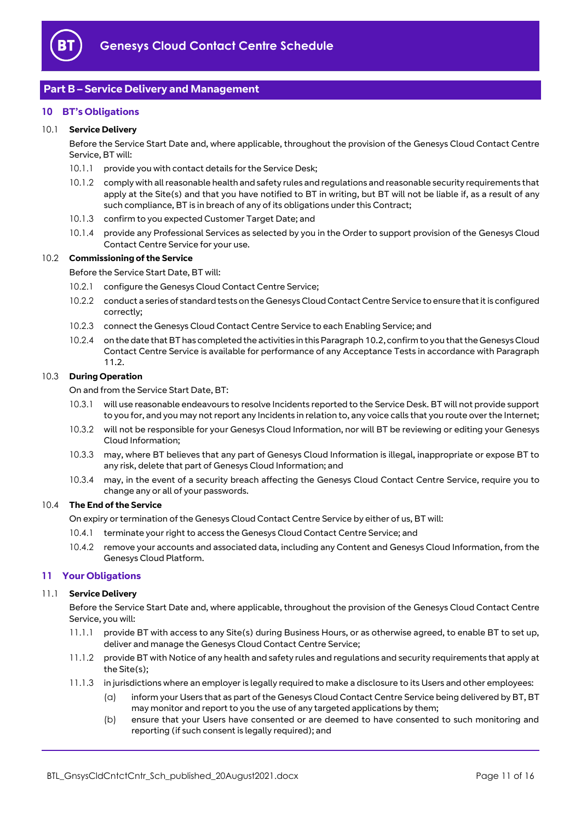

# <span id="page-10-0"></span>**Part B – Service Delivery and Management**

#### <span id="page-10-1"></span>**10 BT's Obligations**

#### 10.1 **Service Delivery**

Before the Service Start Date and, where applicable, throughout the provision of the Genesys Cloud Contact Centre Service, BT will:

- 10.1.1 provide you with contact details for the Service Desk;
- 10.1.2 comply with all reasonable health and safety rules and regulations and reasonable security requirements that apply at the Site(s) and that you have notified to BT in writing, but BT will not be liable if, as a result of any such compliance, BT is in breach of any of its obligations under this Contract;
- 10.1.3 confirm to you expected Customer Target Date; and
- 10.1.4 provide any Professional Services as selected by you in the Order to support provision of the Genesys Cloud Contact Centre Service for your use.

#### <span id="page-10-3"></span>10.2 **Commissioning of the Service**

Before the Service Start Date, BT will:

- 10.2.1 configure the Genesys Cloud Contact Centre Service;
- 10.2.2 conduct a series of standard tests on the Genesys Cloud Contact Centre Service to ensure that it is configured correctly;
- 10.2.3 connect the Genesys Cloud Contact Centre Service to each Enabling Service; and
- <span id="page-10-5"></span>10.2.4 on the date that BT has completed the activities in this Paragraph [10.2,](#page-10-3) confirm to you that the Genesys Cloud Contact Centre Service is available for performance of any Acceptance Tests in accordance with Paragraph [11.2.](#page-11-0)

#### <span id="page-10-6"></span>10.3 **During Operation**

On and from the Service Start Date, BT:

- 10.3.1 will use reasonable endeavours to resolve Incidents reported to the Service Desk. BT will not provide support to you for, and you may not report any Incidents in relation to, any voice calls that you route over the Internet;
- 10.3.2 will not be responsible for your Genesys Cloud Information, nor will BT be reviewing or editing your Genesys Cloud Information;
- 10.3.3 may, where BT believes that any part of Genesys Cloud Information is illegal, inappropriate or expose BT to any risk, delete that part of Genesys Cloud Information; and
- 10.3.4 may, in the event of a security breach affecting the Genesys Cloud Contact Centre Service, require you to change any or all of your passwords.

#### 10.4 **The End of the Service**

On expiry or termination of the Genesys Cloud Contact Centre Service by either of us, BT will:

- 10.4.1 terminate your right to access the Genesys Cloud Contact Centre Service; and
- 10.4.2 remove your accounts and associated data, including any Content and Genesys Cloud Information, from the Genesys Cloud Platform.

#### <span id="page-10-2"></span>**11 Your Obligations**

#### 11.1 **Service Delivery**

Before the Service Start Date and, where applicable, throughout the provision of the Genesys Cloud Contact Centre Service, you will:

- 11.1.1 provide BT with access to any Site(s) during Business Hours, or as otherwise agreed, to enable BT to set up, deliver and manage the Genesys Cloud Contact Centre Service;
- 11.1.2 provide BT with Notice of any health and safety rules and regulations and security requirements that apply at the Site(s);
- <span id="page-10-4"></span>11.1.3 in jurisdictions where an employer is legally required to make a disclosure to its Users and other employees:
	- (a) inform your Users that as part of the Genesys Cloud Contact Centre Service being delivered by BT, BT may monitor and report to you the use of any targeted applications by them;
	- (b) ensure that your Users have consented or are deemed to have consented to such monitoring and reporting (if such consent is legally required); and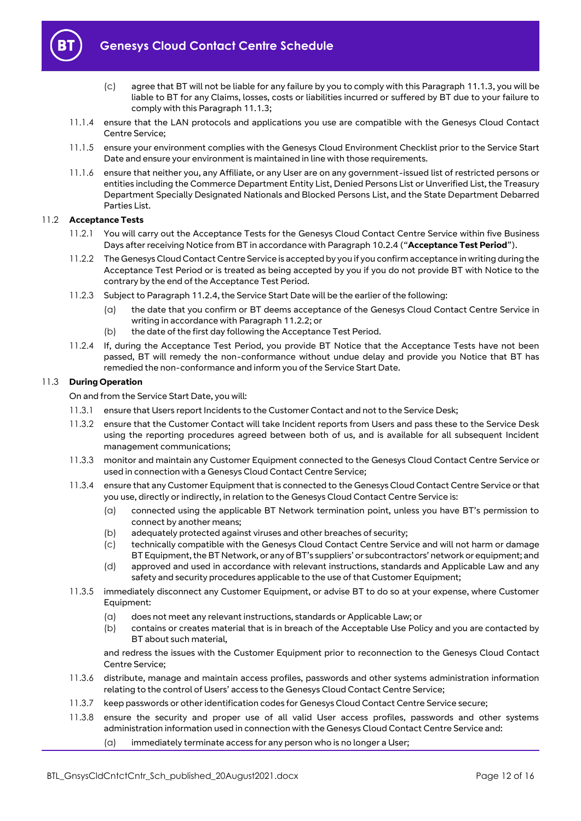

- (c) agree that BT will not be liable for any failure by you to comply with this Paragrap[h 11.1.3,](#page-10-4) you will be liable to BT for any Claims, losses, costs or liabilities incurred or suffered by BT due to your failure to comply with this Paragrap[h 11.1.3;](#page-10-4)
- 11.1.4 ensure that the LAN protocols and applications you use are compatible with the Genesys Cloud Contact Centre Service;
- 11.1.5 ensure your environment complies with the Genesys Cloud Environment Checklist prior to the Service Start Date and ensure your environment is maintained in line with those requirements.
- 11.1.6 ensure that neither you, any Affiliate, or any User are on any government-issued list of restricted persons or entities including the Commerce Department Entity List, Denied Persons List or Unverified List, the Treasury Department Specially Designated Nationals and Blocked Persons List, and the State Department Debarred Parties List.

#### <span id="page-11-3"></span><span id="page-11-0"></span>11.2 **Acceptance Tests**

- 11.2.1 You will carry out the Acceptance Tests for the Genesys Cloud Contact Centre Service within five Business Days after receiving Notice from BT in accordance with Paragrap[h 10.2.4](#page-10-5) ("**Acceptance Test Period**").
- <span id="page-11-2"></span>11.2.2 The Genesys Cloud Contact Centre Service is accepted by you if you confirm acceptance in writing during the Acceptance Test Period or is treated as being accepted by you if you do not provide BT with Notice to the contrary by the end of the Acceptance Test Period.
- 11.2.3 Subject to Paragrap[h 11.2.4,](#page-11-1) the Service Start Date will be the earlier of the following:
	- (a) the date that you confirm or BT deems acceptance of the Genesys Cloud Contact Centre Service in writing in accordance with Paragrap[h 11.2.2;](#page-11-2) or
	- (b) the date of the first day following the Acceptance Test Period.
- <span id="page-11-1"></span>11.2.4 If, during the Acceptance Test Period, you provide BT Notice that the Acceptance Tests have not been passed, BT will remedy the non-conformance without undue delay and provide you Notice that BT has remedied the non-conformance and inform you of the Service Start Date.

#### 11.3 **During Operation**

On and from the Service Start Date, you will:

- 11.3.1 ensure that Users report Incidents to the Customer Contact and not to the Service Desk;
- 11.3.2 ensure that the Customer Contact will take Incident reports from Users and pass these to the Service Desk using the reporting procedures agreed between both of us, and is available for all subsequent Incident management communications;
- 11.3.3 monitor and maintain any Customer Equipment connected to the Genesys Cloud Contact Centre Service or used in connection with a Genesys Cloud Contact Centre Service;
- 11.3.4 ensure that any Customer Equipment that is connected to the Genesys Cloud Contact Centre Service or that you use, directly or indirectly, in relation to the Genesys Cloud Contact Centre Service is:
	- (a) connected using the applicable BT Network termination point, unless you have BT's permission to connect by another means;
	- (b) adequately protected against viruses and other breaches of security;
	- (c) technically compatible with the Genesys Cloud Contact Centre Service and will not harm or damage BT Equipment, the BT Network, or any of BT's suppliers' or subcontractors' network or equipment; and
	- (d) approved and used in accordance with relevant instructions, standards and Applicable Law and any safety and security procedures applicable to the use of that Customer Equipment;
- 11.3.5 immediately disconnect any Customer Equipment, or advise BT to do so at your expense, where Customer Equipment:
	- (a) does not meet any relevant instructions, standards or Applicable Law; or
	- (b) contains or creates material that is in breach of the Acceptable Use Policy and you are contacted by BT about such material,

and redress the issues with the Customer Equipment prior to reconnection to the Genesys Cloud Contact Centre Service;

- 11.3.6 distribute, manage and maintain access profiles, passwords and other systems administration information relating to the control of Users' access to the Genesys Cloud Contact Centre Service;
- 11.3.7 keep passwords or other identification codes for Genesys Cloud Contact Centre Service secure;
- 11.3.8 ensure the security and proper use of all valid User access profiles, passwords and other systems administration information used in connection with the Genesys Cloud Contact Centre Service and:
	- (a) immediately terminate access for any person who is no longer a User;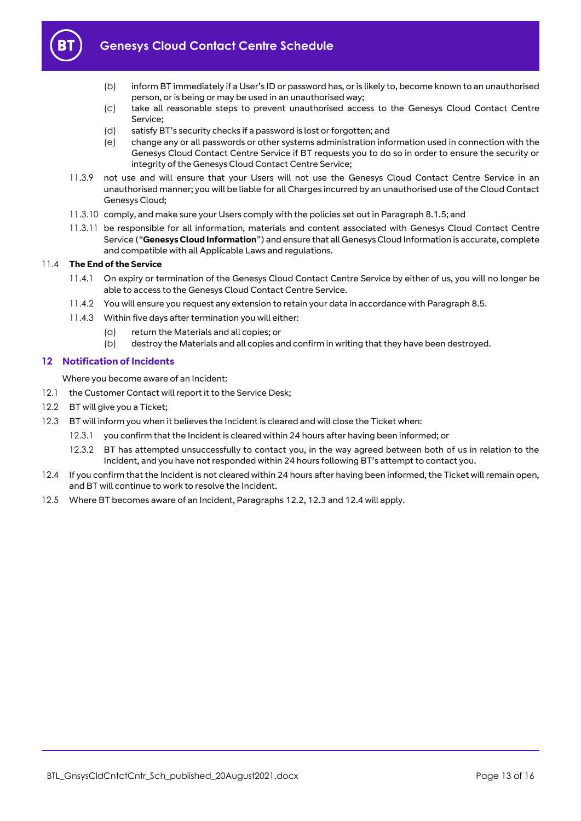

- (b) inform BT immediately if a User's ID or password has, or is likely to, become known to an unauthorised person, or is being or may be used in an unauthorised way;
- (c) take all reasonable steps to prevent unauthorised access to the Genesys Cloud Contact Centre Service;
- (d) satisfy BT's security checks if a password is lost or forgotten; and
- (e) change any or all passwords or other systems administration information used in connection with the Genesys Cloud Contact Centre Service if BT requests you to do so in order to ensure the security or integrity of the Genesys Cloud Contact Centre Service;
- 11.3.9 not use and will ensure that your Users will not use the Genesys Cloud Contact Centre Service in an unauthorised manner; you will be liable for all Charges incurred by an unauthorised use of the Cloud Contact Genesys Cloud;
- 11.3.10 comply, and make sure your Users comply with the policies set out in Paragrap[h 8.1.5;](#page-3-2) and
- <span id="page-12-4"></span>11.3.11 be responsible for all information, materials and content associated with Genesys Cloud Contact Centre Service ("**Genesys Cloud Information**") and ensure that all Genesys Cloud Information is accurate, complete and compatible with all Applicable Laws and regulations.

#### 11.4 **The End of the Service**

- 11.4.1 On expiry or termination of the Genesys Cloud Contact Centre Service by either of us, you will no longer be able to access to the Genesys Cloud Contact Centre Service.
- 11.4.2 You will ensure you request any extension to retain your data in accordance with Paragrap[h 8.5.](#page-5-1)
- 11.4.3 Within five days after termination you will either:
	- (a) return the Materials and all copies; or
	- (b) destroy the Materials and all copies and confirm in writing that they have been destroyed.

#### <span id="page-12-0"></span>**12 Notification of Incidents**

Where you become aware of an Incident:

- 12.1 the Customer Contact will report it to the Service Desk;
- <span id="page-12-1"></span>12.2 BT will give you a Ticket;
- <span id="page-12-2"></span>12.3 BT will inform you when it believes the Incident is cleared and will close the Ticket when:
	- 12.3.1 you confirm that the Incident is cleared within 24 hours after having been informed; or
	- 12.3.2 BT has attempted unsuccessfully to contact you, in the way agreed between both of us in relation to the Incident, and you have not responded within 24 hours following BT's attempt to contact you.
- <span id="page-12-3"></span>12.4 If you confirm that the Incident is not cleared within 24 hours after having been informed, the Ticket will remain open, and BT will continue to work to resolve the Incident.
- 12.5 Where BT becomes aware of an Incident, Paragraph[s 12.2,](#page-12-1) [12.3](#page-12-2) an[d 12.4](#page-12-3) will apply.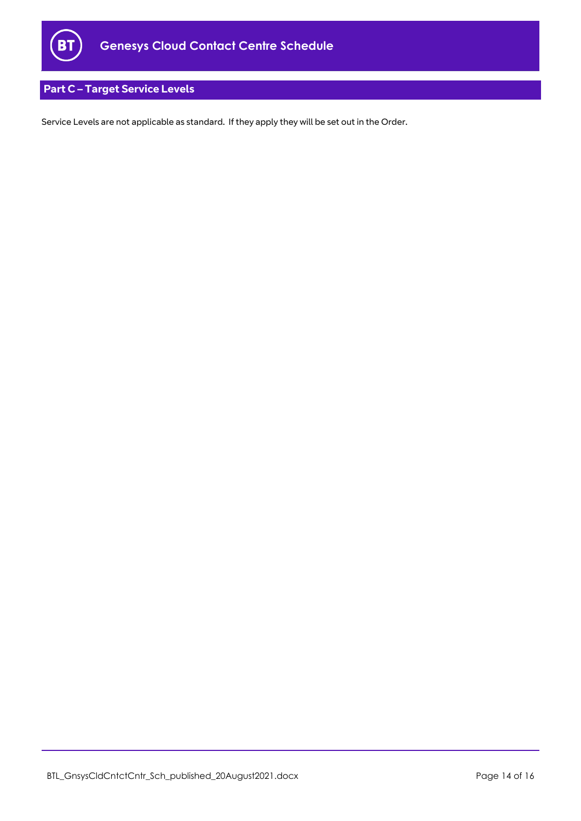

# <span id="page-13-0"></span>**Part C – Target Service Levels**

Service Levels are not applicable as standard. If they apply they will be set out in the Order.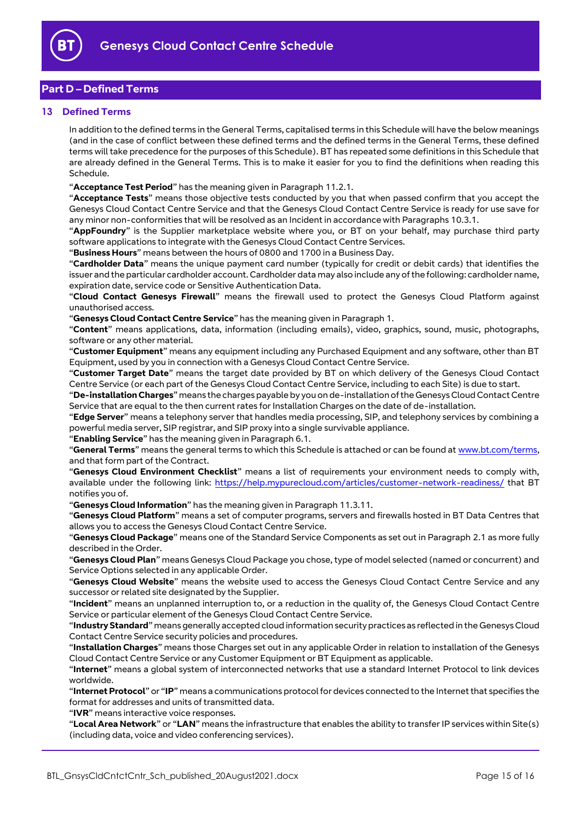

# **Part D – Defined Terms**

#### <span id="page-14-0"></span>**13 Defined Terms**

In addition to the defined terms in the General Terms, capitalised terms in this Schedule will have the below meanings (and in the case of conflict between these defined terms and the defined terms in the General Terms, these defined terms will take precedence for the purposes of this Schedule). BT has repeated some definitions in this Schedule that are already defined in the General Terms. This is to make it easier for you to find the definitions when reading this Schedule.

"**Acceptance Test Period**" has the meaning given in Paragraph [11.2.1.](#page-11-3)

"**Acceptance Tests**" means those objective tests conducted by you that when passed confirm that you accept the Genesys Cloud Contact Centre Service and that the Genesys Cloud Contact Centre Service is ready for use save for any minor non-conformities that will be resolved as an Incident in accordance with Paragraph[s 10.3.1.](#page-10-6)

"**AppFoundry**" is the Supplier marketplace website where you, or BT on your behalf, may purchase third party software applications to integrate with the Genesys Cloud Contact Centre Services.

"**Business Hours**" means between the hours of 0800 and 1700 in a Business Day.

"**Cardholder Data**" means the unique payment card number (typically for credit or debit cards) that identifies the issuer and the particular cardholder account. Cardholder data may also include any of the following: cardholder name, expiration date, service code or Sensitive Authentication Data.

"**Cloud Contact Genesys Firewall**" means the firewall used to protect the Genesys Cloud Platform against unauthorised access.

"**Genesys Cloud Contact Centre Service**" has the meaning given in Paragraph [1.](#page-1-3) 

"**Content**" means applications, data, information (including emails), video, graphics, sound, music, photographs, software or any other material.

"**Customer Equipment**" means any equipment including any Purchased Equipment and any software, other than BT Equipment, used by you in connection with a Genesys Cloud Contact Centre Service.

"**Customer Target Date**" means the target date provided by BT on which delivery of the Genesys Cloud Contact Centre Service (or each part of the Genesys Cloud Contact Centre Service, including to each Site) is due to start.

"**De-installation Charges**" means the charges payable by you on de-installation of the Genesys Cloud Contact Centre Service that are equal to the then current rates for Installation Charges on the date of de-installation.

"**Edge Server**" means a telephony server that handles media processing, SIP, and telephony services by combining a powerful media server, SIP registrar, and SIP proxy into a single survivable appliance.

"**Enabling Service**" has the meaning given in Paragraph [6.1.](#page-2-3)

"**General Terms**" means the general terms to which this Schedule is attached or can be found at [www.bt.com/terms,](http://www.bt.com/terms)  and that form part of the Contract.

"**Genesys Cloud Environment Checklist**" means a list of requirements your environment needs to comply with, available under the following link:<https://help.mypurecloud.com/articles/customer-network-readiness/> that BT notifies you of.

"**Genesys Cloud Information**" has the meaning given in Paragraph [11.3.11.](#page-12-4)

"**Genesys Cloud Platform**" means a set of computer programs, servers and firewalls hosted in BT Data Centres that allows you to access the Genesys Cloud Contact Centre Service.

"**Genesys Cloud Package**" means one of the Standard Service Components as set out in Paragraph [2.1](#page-1-7) as more fully described in the Order.

"**Genesys Cloud Plan**" means Genesys Cloud Package you chose, type of model selected (named or concurrent) and Service Options selected in any applicable Order.

"**Genesys Cloud Website**" means the website used to access the Genesys Cloud Contact Centre Service and any successor or related site designated by the Supplier.

"**Incident**" means an unplanned interruption to, or a reduction in the quality of, the Genesys Cloud Contact Centre Service or particular element of the Genesys Cloud Contact Centre Service.

"**Industry Standard**" means generally accepted cloud information security practices as reflected in the Genesys Cloud Contact Centre Service security policies and procedures.

"**Installation Charges**" means those Charges set out in any applicable Order in relation to installation of the Genesys Cloud Contact Centre Service or any Customer Equipment or BT Equipment as applicable.

"**Internet**" means a global system of interconnected networks that use a standard Internet Protocol to link devices worldwide.

"**Internet Protocol**" or "**IP**" means a communications protocol for devices connected to the Internet that specifies the format for addresses and units of transmitted data.

"**IVR**" means interactive voice responses.

"**Local Area Network**" or "**LAN**" means the infrastructure that enables the ability to transfer IP services within Site(s) (including data, voice and video conferencing services).